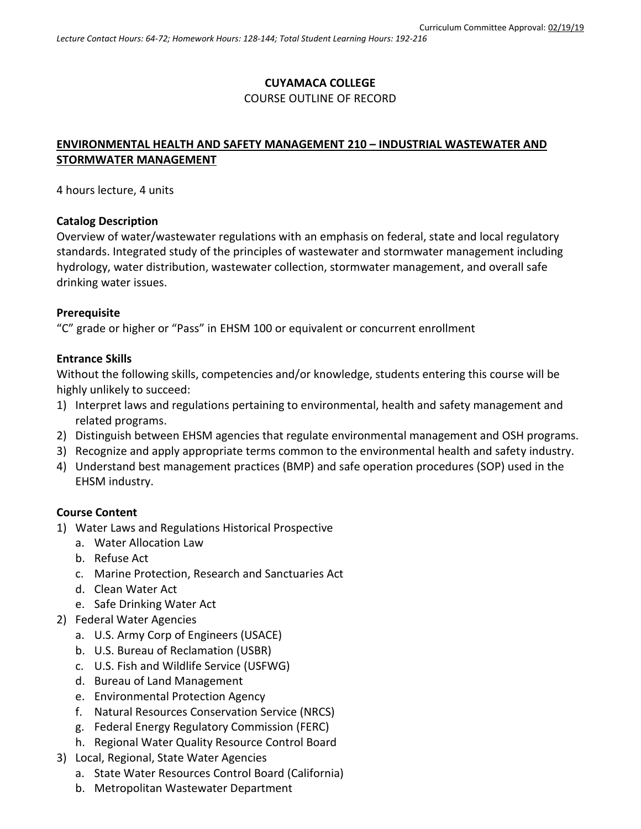### **CUYAMACA COLLEGE** COURSE OUTLINE OF RECORD

# **ENVIRONMENTAL HEALTH AND SAFETY MANAGEMENT 210 – INDUSTRIAL WASTEWATER AND STORMWATER MANAGEMENT**

4 hours lecture, 4 units

### **Catalog Description**

Overview of water/wastewater regulations with an emphasis on federal, state and local regulatory standards. Integrated study of the principles of wastewater and stormwater management including hydrology, water distribution, wastewater collection, stormwater management, and overall safe drinking water issues.

### **Prerequisite**

"C" grade or higher or "Pass" in EHSM 100 or equivalent or concurrent enrollment

### **Entrance Skills**

Without the following skills, competencies and/or knowledge, students entering this course will be highly unlikely to succeed:

- 1) Interpret laws and regulations pertaining to environmental, health and safety management and related programs.
- 2) Distinguish between EHSM agencies that regulate environmental management and OSH programs.
- 3) Recognize and apply appropriate terms common to the environmental health and safety industry.
- 4) Understand best management practices (BMP) and safe operation procedures (SOP) used in the EHSM industry.

### **Course Content**

- 1) Water Laws and Regulations Historical Prospective
	- a. Water Allocation Law
	- b. Refuse Act
	- c. Marine Protection, Research and Sanctuaries Act
	- d. Clean Water Act
	- e. Safe Drinking Water Act
- 2) Federal Water Agencies
	- a. U.S. Army Corp of Engineers (USACE)
	- b. U.S. Bureau of Reclamation (USBR)
	- c. U.S. Fish and Wildlife Service (USFWG)
	- d. Bureau of Land Management
	- e. Environmental Protection Agency
	- f. Natural Resources Conservation Service (NRCS)
	- g. Federal Energy Regulatory Commission (FERC)
	- h. Regional Water Quality Resource Control Board
- 3) Local, Regional, State Water Agencies
	- a. State Water Resources Control Board (California)
	- b. Metropolitan Wastewater Department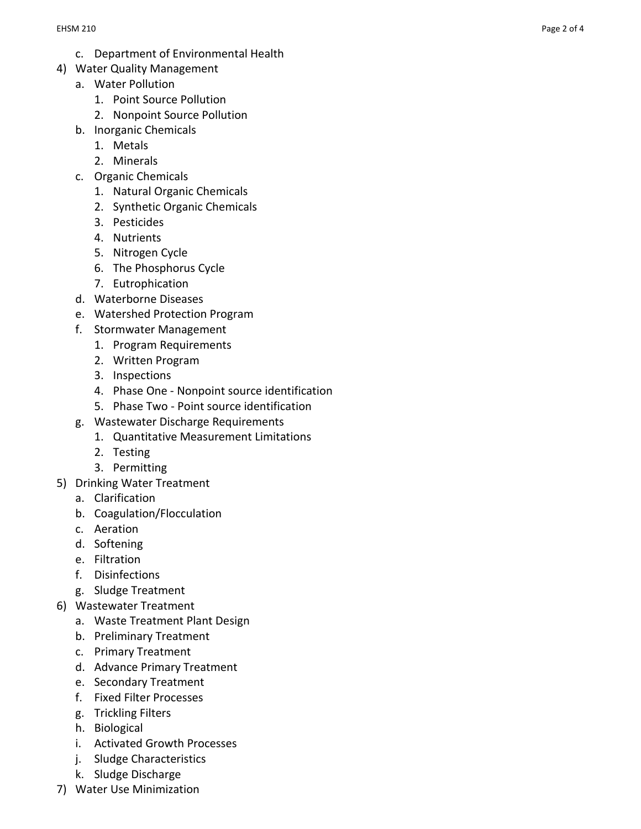- c. Department of Environmental Health
- 4) Water Quality Management
	- a. Water Pollution
		- 1. Point Source Pollution
		- 2. Nonpoint Source Pollution
	- b. Inorganic Chemicals
		- 1. Metals
		- 2. Minerals
	- c. Organic Chemicals
		- 1. Natural Organic Chemicals
		- 2. Synthetic Organic Chemicals
		- 3. Pesticides
		- 4. Nutrients
		- 5. Nitrogen Cycle
		- 6. The Phosphorus Cycle
		- 7. Eutrophication
	- d. Waterborne Diseases
	- e. Watershed Protection Program
	- f. Stormwater Management
		- 1. Program Requirements
		- 2. Written Program
		- 3. Inspections
		- 4. Phase One Nonpoint source identification
		- 5. Phase Two Point source identification
	- g. Wastewater Discharge Requirements
		- 1. Quantitative Measurement Limitations
		- 2. Testing
		- 3. Permitting
- 5) Drinking Water Treatment
	- a. Clarification
	- b. Coagulation/Flocculation
	- c. Aeration
	- d. Softening
	- e. Filtration
	- f. Disinfections
	- g. Sludge Treatment
- 6) Wastewater Treatment
	- a. Waste Treatment Plant Design
	- b. Preliminary Treatment
	- c. Primary Treatment
	- d. Advance Primary Treatment
	- e. Secondary Treatment
	- f. Fixed Filter Processes
	- g. Trickling Filters
	- h. Biological
	- i. Activated Growth Processes
	- j. Sludge Characteristics
	- k. Sludge Discharge
- 7) Water Use Minimization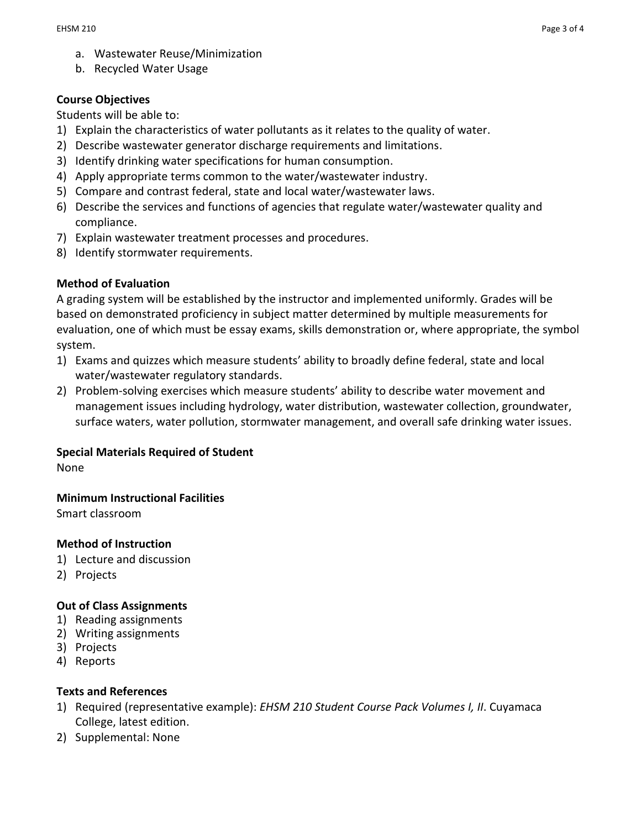- a. Wastewater Reuse/Minimization
- b. Recycled Water Usage

### **Course Objectives**

Students will be able to:

- 1) Explain the characteristics of water pollutants as it relates to the quality of water.
- 2) Describe wastewater generator discharge requirements and limitations.
- 3) Identify drinking water specifications for human consumption.
- 4) Apply appropriate terms common to the water/wastewater industry.
- 5) Compare and contrast federal, state and local water/wastewater laws.
- 6) Describe the services and functions of agencies that regulate water/wastewater quality and compliance.
- 7) Explain wastewater treatment processes and procedures.
- 8) Identify stormwater requirements.

## **Method of Evaluation**

A grading system will be established by the instructor and implemented uniformly. Grades will be based on demonstrated proficiency in subject matter determined by multiple measurements for evaluation, one of which must be essay exams, skills demonstration or, where appropriate, the symbol system.

- 1) Exams and quizzes which measure students' ability to broadly define federal, state and local water/wastewater regulatory standards.
- 2) Problem-solving exercises which measure students' ability to describe water movement and management issues including hydrology, water distribution, wastewater collection, groundwater, surface waters, water pollution, stormwater management, and overall safe drinking water issues.

## **Special Materials Required of Student**

None

## **Minimum Instructional Facilities**

Smart classroom

### **Method of Instruction**

- 1) Lecture and discussion
- 2) Projects

### **Out of Class Assignments**

- 1) Reading assignments
- 2) Writing assignments
- 3) Projects
- 4) Reports

### **Texts and References**

- 1) Required (representative example): *EHSM 210 Student Course Pack Volumes I, II*. Cuyamaca College, latest edition.
- 2) Supplemental: None